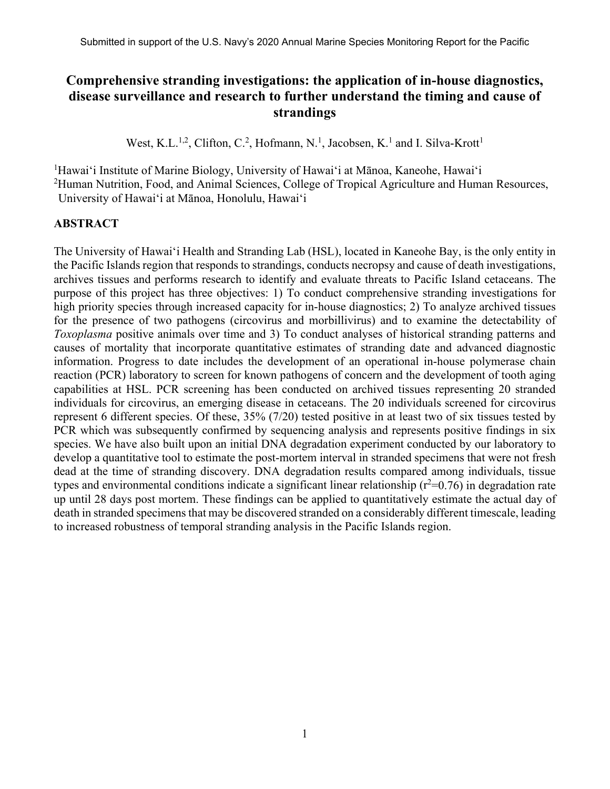# **Comprehensive stranding investigations: the application of in-house diagnostics, disease surveillance and research to further understand the timing and cause of strandings**

West, K.L.<sup>1,2</sup>, Clifton, C.<sup>2</sup>, Hofmann, N.<sup>1</sup>, Jacobsen, K.<sup>1</sup> and I. Silva-Krott<sup>1</sup>

<sup>1</sup>Hawai'i Institute of Marine Biology, University of Hawai'i at Mānoa, Kaneohe, Hawai'i

<sup>2</sup>Human Nutrition, Food, and Animal Sciences, College of Tropical Agriculture and Human Resources, University of Hawai'i at Mānoa, Honolulu, Hawai'i

#### **ABSTRACT**

The University of Hawai'i Health and Stranding Lab (HSL), located in Kaneohe Bay, is the only entity in the Pacific Islands region that responds to strandings, conducts necropsy and cause of death investigations, archives tissues and performs research to identify and evaluate threats to Pacific Island cetaceans. The purpose of this project has three objectives: 1) To conduct comprehensive stranding investigations for high priority species through increased capacity for in-house diagnostics; 2) To analyze archived tissues for the presence of two pathogens (circovirus and morbillivirus) and to examine the detectability of *Toxoplasma* positive animals over time and 3) To conduct analyses of historical stranding patterns and causes of mortality that incorporate quantitative estimates of stranding date and advanced diagnostic information. Progress to date includes the development of an operational in-house polymerase chain reaction (PCR) laboratory to screen for known pathogens of concern and the development of tooth aging capabilities at HSL. PCR screening has been conducted on archived tissues representing 20 stranded individuals for circovirus, an emerging disease in cetaceans. The 20 individuals screened for circovirus represent 6 different species. Of these, 35% (7/20) tested positive in at least two of six tissues tested by PCR which was subsequently confirmed by sequencing analysis and represents positive findings in six species. We have also built upon an initial DNA degradation experiment conducted by our laboratory to develop a quantitative tool to estimate the post-mortem interval in stranded specimens that were not fresh dead at the time of stranding discovery. DNA degradation results compared among individuals, tissue types and environmental conditions indicate a significant linear relationship ( $r^2$ =0.76) in degradation rate up until 28 days post mortem. These findings can be applied to quantitatively estimate the actual day of death in stranded specimens that may be discovered stranded on a considerably different timescale, leading to increased robustness of temporal stranding analysis in the Pacific Islands region.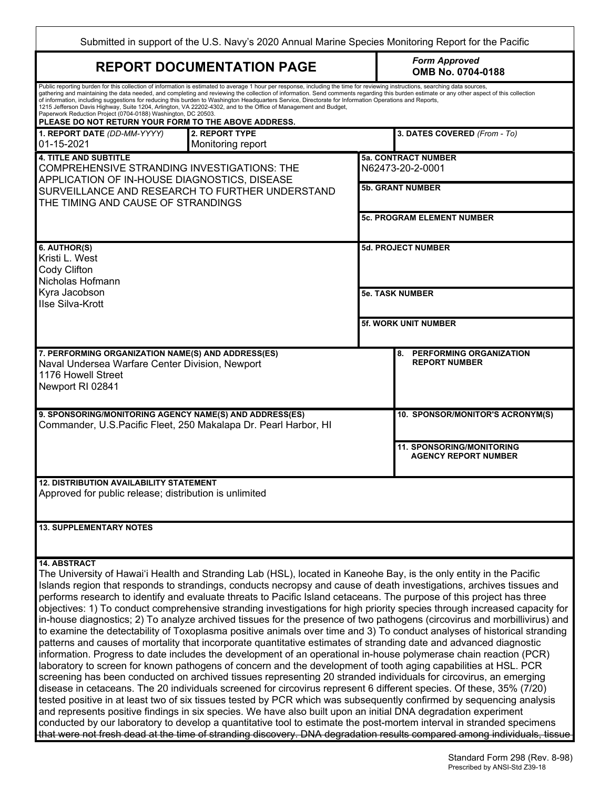| Submitted in support of the U.S. Navy's 2020 Annual Marine Species Monitoring Report for the Pacific                                                                                                                                                                                                                                                                                                                                                                                                                                                                                                                                                                                                                                                                                                                                                                                                                                                                                                                                                                                                                                                                                                                                                                                                                                                                                                                                                                                                                                                                                                                                                                                                                                                                                                                                                                                        |                                                                 |  |  |  |  |
|---------------------------------------------------------------------------------------------------------------------------------------------------------------------------------------------------------------------------------------------------------------------------------------------------------------------------------------------------------------------------------------------------------------------------------------------------------------------------------------------------------------------------------------------------------------------------------------------------------------------------------------------------------------------------------------------------------------------------------------------------------------------------------------------------------------------------------------------------------------------------------------------------------------------------------------------------------------------------------------------------------------------------------------------------------------------------------------------------------------------------------------------------------------------------------------------------------------------------------------------------------------------------------------------------------------------------------------------------------------------------------------------------------------------------------------------------------------------------------------------------------------------------------------------------------------------------------------------------------------------------------------------------------------------------------------------------------------------------------------------------------------------------------------------------------------------------------------------------------------------------------------------|-----------------------------------------------------------------|--|--|--|--|
| <b>REPORT DOCUMENTATION PAGE</b>                                                                                                                                                                                                                                                                                                                                                                                                                                                                                                                                                                                                                                                                                                                                                                                                                                                                                                                                                                                                                                                                                                                                                                                                                                                                                                                                                                                                                                                                                                                                                                                                                                                                                                                                                                                                                                                            | <b>Form Approved</b><br>OMB No. 0704-0188                       |  |  |  |  |
| Public reporting burden for this collection of information is estimated to average 1 hour per response, including the time for reviewing instructions, searching data sources,<br>gathering and maintaining the data needed, and completing and reviewing the collection of information. Send comments regarding this burden estimate or any other aspect of this collection<br>of information, including suggestions for reducing this burden to Washington Headquarters Service, Directorate for Information Operations and Reports,<br>1215 Jefferson Davis Highway, Suite 1204, Arlington, VA 22202-4302, and to the Office of Management and Budget,<br>Paperwork Reduction Project (0704-0188) Washington, DC 20503.<br>PLEASE DO NOT RETURN YOUR FORM TO THE ABOVE ADDRESS.                                                                                                                                                                                                                                                                                                                                                                                                                                                                                                                                                                                                                                                                                                                                                                                                                                                                                                                                                                                                                                                                                                          |                                                                 |  |  |  |  |
| <b>2. REPORT TYPE</b><br>1. REPORT DATE (DD-MM-YYYY)<br>01-15-2021<br>Monitoring report                                                                                                                                                                                                                                                                                                                                                                                                                                                                                                                                                                                                                                                                                                                                                                                                                                                                                                                                                                                                                                                                                                                                                                                                                                                                                                                                                                                                                                                                                                                                                                                                                                                                                                                                                                                                     | 3. DATES COVERED (From - To)                                    |  |  |  |  |
| <b>4. TITLE AND SUBTITLE</b><br>COMPREHENSIVE STRANDING INVESTIGATIONS: THE<br>APPLICATION OF IN-HOUSE DIAGNOSTICS, DISEASE                                                                                                                                                                                                                                                                                                                                                                                                                                                                                                                                                                                                                                                                                                                                                                                                                                                                                                                                                                                                                                                                                                                                                                                                                                                                                                                                                                                                                                                                                                                                                                                                                                                                                                                                                                 | <b>5a. CONTRACT NUMBER</b><br>N62473-20-2-0001                  |  |  |  |  |
| SURVEILLANCE AND RESEARCH TO FURTHER UNDERSTAND<br>THE TIMING AND CAUSE OF STRANDINGS                                                                                                                                                                                                                                                                                                                                                                                                                                                                                                                                                                                                                                                                                                                                                                                                                                                                                                                                                                                                                                                                                                                                                                                                                                                                                                                                                                                                                                                                                                                                                                                                                                                                                                                                                                                                       | <b>5b. GRANT NUMBER</b>                                         |  |  |  |  |
|                                                                                                                                                                                                                                                                                                                                                                                                                                                                                                                                                                                                                                                                                                                                                                                                                                                                                                                                                                                                                                                                                                                                                                                                                                                                                                                                                                                                                                                                                                                                                                                                                                                                                                                                                                                                                                                                                             | <b>5c. PROGRAM ELEMENT NUMBER</b>                               |  |  |  |  |
| 6. AUTHOR(S)<br>Kristi L. West<br>Cody Clifton<br>Nicholas Hofmann                                                                                                                                                                                                                                                                                                                                                                                                                                                                                                                                                                                                                                                                                                                                                                                                                                                                                                                                                                                                                                                                                                                                                                                                                                                                                                                                                                                                                                                                                                                                                                                                                                                                                                                                                                                                                          | <b>5d. PROJECT NUMBER</b>                                       |  |  |  |  |
| Kyra Jacobson<br>Ilse Silva-Krott                                                                                                                                                                                                                                                                                                                                                                                                                                                                                                                                                                                                                                                                                                                                                                                                                                                                                                                                                                                                                                                                                                                                                                                                                                                                                                                                                                                                                                                                                                                                                                                                                                                                                                                                                                                                                                                           | <b>5e. TASK NUMBER</b>                                          |  |  |  |  |
|                                                                                                                                                                                                                                                                                                                                                                                                                                                                                                                                                                                                                                                                                                                                                                                                                                                                                                                                                                                                                                                                                                                                                                                                                                                                                                                                                                                                                                                                                                                                                                                                                                                                                                                                                                                                                                                                                             | 5f. WORK UNIT NUMBER                                            |  |  |  |  |
| 7. PERFORMING ORGANIZATION NAME(S) AND ADDRESS(ES)<br>Naval Undersea Warfare Center Division, Newport<br>1176 Howell Street<br>Newport RI 02841                                                                                                                                                                                                                                                                                                                                                                                                                                                                                                                                                                                                                                                                                                                                                                                                                                                                                                                                                                                                                                                                                                                                                                                                                                                                                                                                                                                                                                                                                                                                                                                                                                                                                                                                             | PERFORMING ORGANIZATION<br>8.<br><b>REPORT NUMBER</b>           |  |  |  |  |
| 9. SPONSORING/MONITORING AGENCY NAME(S) AND ADDRESS(ES)<br>Commander, U.S. Pacific Fleet, 250 Makalapa Dr. Pearl Harbor, HI                                                                                                                                                                                                                                                                                                                                                                                                                                                                                                                                                                                                                                                                                                                                                                                                                                                                                                                                                                                                                                                                                                                                                                                                                                                                                                                                                                                                                                                                                                                                                                                                                                                                                                                                                                 | 10. SPONSOR/MONITOR'S ACRONYM(S)                                |  |  |  |  |
|                                                                                                                                                                                                                                                                                                                                                                                                                                                                                                                                                                                                                                                                                                                                                                                                                                                                                                                                                                                                                                                                                                                                                                                                                                                                                                                                                                                                                                                                                                                                                                                                                                                                                                                                                                                                                                                                                             | <b>11. SPONSORING/MONITORING</b><br><b>AGENCY REPORT NUMBER</b> |  |  |  |  |
| <b>12. DISTRIBUTION AVAILABILITY STATEMENT</b><br>Approved for public release; distribution is unlimited                                                                                                                                                                                                                                                                                                                                                                                                                                                                                                                                                                                                                                                                                                                                                                                                                                                                                                                                                                                                                                                                                                                                                                                                                                                                                                                                                                                                                                                                                                                                                                                                                                                                                                                                                                                    |                                                                 |  |  |  |  |
| <b>13. SUPPLEMENTARY NOTES</b>                                                                                                                                                                                                                                                                                                                                                                                                                                                                                                                                                                                                                                                                                                                                                                                                                                                                                                                                                                                                                                                                                                                                                                                                                                                                                                                                                                                                                                                                                                                                                                                                                                                                                                                                                                                                                                                              |                                                                 |  |  |  |  |
| <b>14. ABSTRACT</b><br>The University of Hawai'i Health and Stranding Lab (HSL), located in Kaneohe Bay, is the only entity in the Pacific<br>Islands region that responds to strandings, conducts necropsy and cause of death investigations, archives tissues and<br>performs research to identify and evaluate threats to Pacific Island cetaceans. The purpose of this project has three<br>objectives: 1) To conduct comprehensive stranding investigations for high priority species through increased capacity for<br>in-house diagnostics; 2) To analyze archived tissues for the presence of two pathogens (circovirus and morbillivirus) and<br>to examine the detectability of Toxoplasma positive animals over time and 3) To conduct analyses of historical stranding<br>patterns and causes of mortality that incorporate quantitative estimates of stranding date and advanced diagnostic<br>information. Progress to date includes the development of an operational in-house polymerase chain reaction (PCR)<br>laboratory to screen for known pathogens of concern and the development of tooth aging capabilities at HSL. PCR<br>screening has been conducted on archived tissues representing 20 stranded individuals for circovirus, an emerging<br>disease in cetaceans. The 20 individuals screened for circovirus represent 6 different species. Of these, 35% (7/20)<br>tested positive in at least two of six tissues tested by PCR which was subsequently confirmed by sequencing analysis<br>and represents positive findings in six species. We have also built upon an initial DNA degradation experiment<br>conducted by our laboratory to develop a quantitative tool to estimate the post-mortem interval in stranded specimens<br>that were not fresh dead at the time of stranding discovery. DNA degradation results compared among individuals, tissue |                                                                 |  |  |  |  |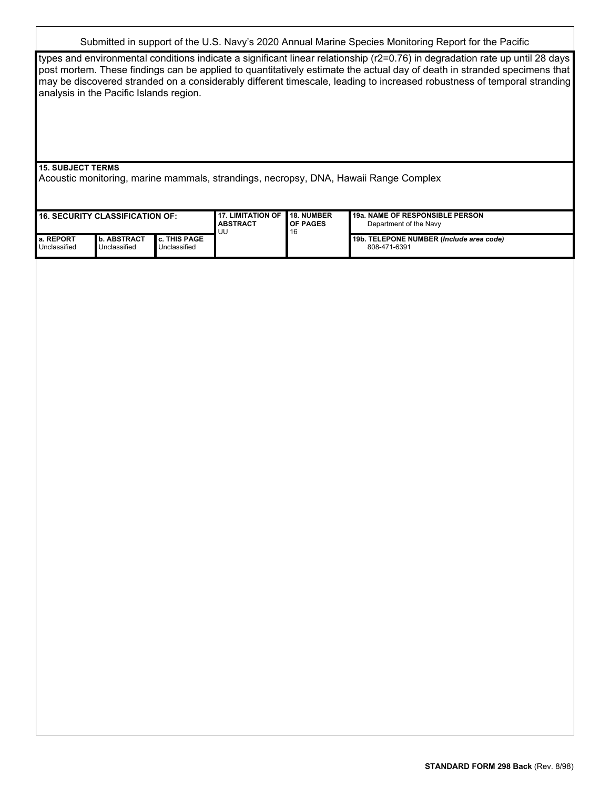#### Submitted in support of the U.S. Navy's 2020 Annual Marine Species Monitoring Report for the Pacific

types and environmental conditions indicate a significant linear relationship (r2=0.76) in degradation rate up until 28 days post mortem. These findings can be applied to quantitatively estimate the actual day of death in stranded specimens that may be discovered stranded on a considerably different timescale, leading to increased robustness of temporal stranding analysis in the Pacific Islands region.

#### **15. SUBJECT TERMS**

Acoustic monitoring, marine mammals, strandings, necropsy, DNA, Hawaii Range Complex

| <b>16. SECURITY CLASSIFICATION OF:</b> |                                      |                                   | 17. LIMITATION OF<br><b>ABSTRACT</b><br>UU | <b>18. NUMBER</b><br><b>OF PAGES</b><br>16 | 19a. NAME OF RESPONSIBLE PERSON<br>Department of the Navy |
|----------------------------------------|--------------------------------------|-----------------------------------|--------------------------------------------|--------------------------------------------|-----------------------------------------------------------|
| <b>I</b> a. REPORT<br>Unclassified     | <b>I</b> b. ABSTRACT<br>Unclassified | . THIS PAGE<br>c.<br>Unclassified |                                            |                                            | 19b. TELEPONE NUMBER (Include area code)<br>808-471-6391  |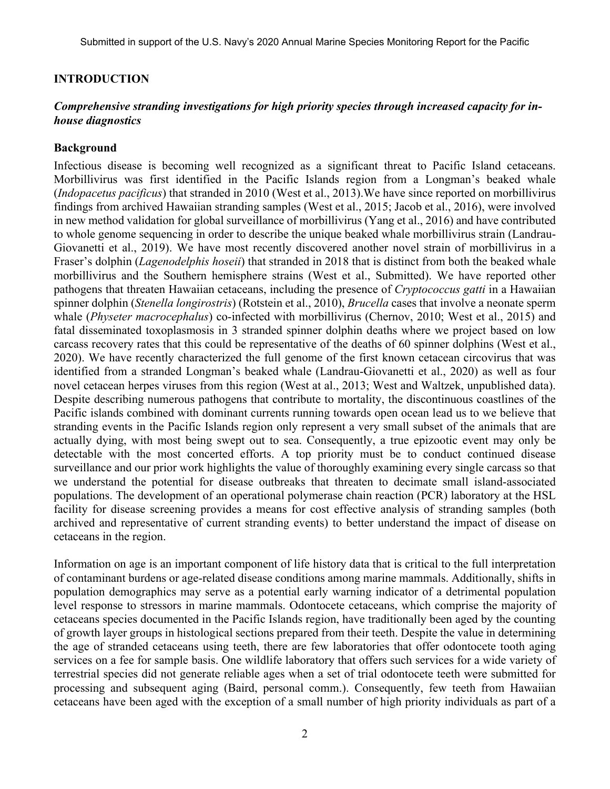#### **INTRODUCTION**

#### *Comprehensive stranding investigations for high priority species through increased capacity for inhouse diagnostics*

#### **Background**

Infectious disease is becoming well recognized as a significant threat to Pacific Island cetaceans. Morbillivirus was first identified in the Pacific Islands region from a Longman's beaked whale (*Indopacetus pacificus*) that stranded in 2010 (West et al., 2013).We have since reported on morbillivirus findings from archived Hawaiian stranding samples (West et al., 2015; Jacob et al., 2016), were involved in new method validation for global surveillance of morbillivirus (Yang et al., 2016) and have contributed to whole genome sequencing in order to describe the unique beaked whale morbillivirus strain (Landrau-Giovanetti et al., 2019). We have most recently discovered another novel strain of morbillivirus in a Fraser's dolphin (*Lagenodelphis hoseii*) that stranded in 2018 that is distinct from both the beaked whale morbillivirus and the Southern hemisphere strains (West et al., Submitted). We have reported other pathogens that threaten Hawaiian cetaceans, including the presence of *Cryptococcus gatti* in a Hawaiian spinner dolphin (*Stenella longirostris*) (Rotstein et al., 2010), *Brucella* cases that involve a neonate sperm whale (*Physeter macrocephalus*) co-infected with morbillivirus (Chernov, 2010; West et al., 2015) and fatal disseminated toxoplasmosis in 3 stranded spinner dolphin deaths where we project based on low carcass recovery rates that this could be representative of the deaths of 60 spinner dolphins (West et al., 2020). We have recently characterized the full genome of the first known cetacean circovirus that was identified from a stranded Longman's beaked whale (Landrau-Giovanetti et al., 2020) as well as four novel cetacean herpes viruses from this region (West at al., 2013; West and Waltzek, unpublished data). Despite describing numerous pathogens that contribute to mortality, the discontinuous coastlines of the Pacific islands combined with dominant currents running towards open ocean lead us to we believe that stranding events in the Pacific Islands region only represent a very small subset of the animals that are actually dying, with most being swept out to sea. Consequently, a true epizootic event may only be detectable with the most concerted efforts. A top priority must be to conduct continued disease surveillance and our prior work highlights the value of thoroughly examining every single carcass so that we understand the potential for disease outbreaks that threaten to decimate small island-associated populations. The development of an operational polymerase chain reaction (PCR) laboratory at the HSL facility for disease screening provides a means for cost effective analysis of stranding samples (both archived and representative of current stranding events) to better understand the impact of disease on cetaceans in the region.

Information on age is an important component of life history data that is critical to the full interpretation of contaminant burdens or age-related disease conditions among marine mammals. Additionally, shifts in population demographics may serve as a potential early warning indicator of a detrimental population level response to stressors in marine mammals. Odontocete cetaceans, which comprise the majority of cetaceans species documented in the Pacific Islands region, have traditionally been aged by the counting of growth layer groups in histological sections prepared from their teeth. Despite the value in determining the age of stranded cetaceans using teeth, there are few laboratories that offer odontocete tooth aging services on a fee for sample basis. One wildlife laboratory that offers such services for a wide variety of terrestrial species did not generate reliable ages when a set of trial odontocete teeth were submitted for processing and subsequent aging (Baird, personal comm.). Consequently, few teeth from Hawaiian cetaceans have been aged with the exception of a small number of high priority individuals as part of a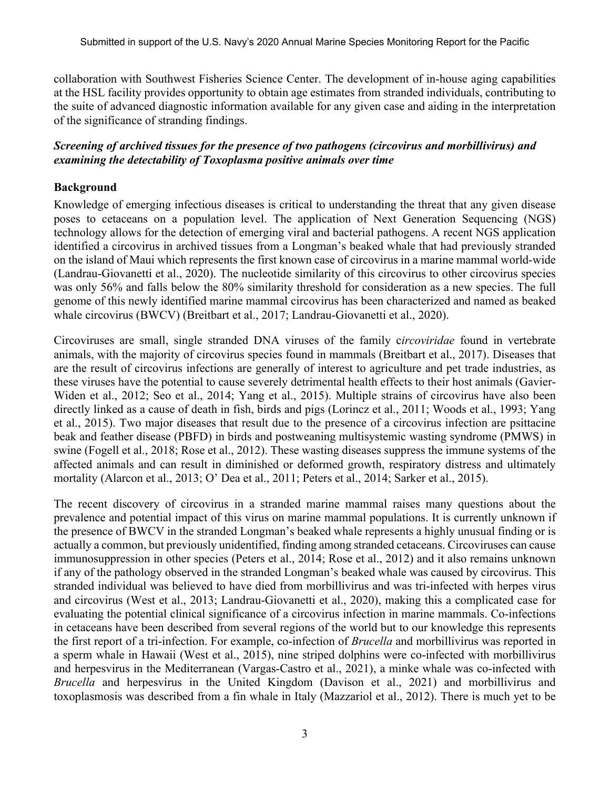collaboration with Southwest Fisheries Science Center. The development of in-house aging capabilities at the HSL facility provides opportunity to obtain age estimates from stranded individuals, contributing to the suite of advanced diagnostic information available for any given case and aiding in the interpretation of the significance of stranding findings.

### *Screening of archived tissues for the presence of two pathogens (circovirus and morbillivirus) and examining the detectability of Toxoplasma positive animals over time*

## **Background**

Knowledge of emerging infectious diseases is critical to understanding the threat that any given disease poses to cetaceans on a population level. The application of Next Generation Sequencing (NGS) technology allows for the detection of emerging viral and bacterial pathogens. A recent NGS application identified a circovirus in archived tissues from a Longman's beaked whale that had previously stranded on the island of Maui which represents the first known case of circovirus in a marine mammal world-wide (Landrau-Giovanetti et al., 2020). The nucleotide similarity of this circovirus to other circovirus species was only 56% and falls below the 80% similarity threshold for consideration as a new species. The full genome of this newly identified marine mammal circovirus has been characterized and named as beaked whale circovirus (BWCV) (Breitbart et al., 2017; Landrau-Giovanetti et al., 2020).

Circoviruses are small, single stranded DNA viruses of the family c*ircoviridae* found in vertebrate animals, with the majority of circovirus species found in mammals (Breitbart et al., 2017). Diseases that are the result of circovirus infections are generally of interest to agriculture and pet trade industries, as these viruses have the potential to cause severely detrimental health effects to their host animals (Gavier-Widen et al., 2012; Seo et al., 2014; Yang et al., 2015). Multiple strains of circovirus have also been directly linked as a cause of death in fish, birds and pigs (Lorincz et al., 2011; Woods et al., 1993; Yang et al., 2015). Two major diseases that result due to the presence of a circovirus infection are psittacine beak and feather disease (PBFD) in birds and postweaning multisystemic wasting syndrome (PMWS) in swine (Fogell et al., 2018; Rose et al., 2012). These wasting diseases suppress the immune systems of the affected animals and can result in diminished or deformed growth, respiratory distress and ultimately mortality (Alarcon et al., 2013; O' Dea et al., 2011; Peters et al., 2014; Sarker et al., 2015).

The recent discovery of circovirus in a stranded marine mammal raises many questions about the prevalence and potential impact of this virus on marine mammal populations. It is currently unknown if the presence of BWCV in the stranded Longman's beaked whale represents a highly unusual finding or is actually a common, but previously unidentified, finding among stranded cetaceans. Circoviruses can cause immunosuppression in other species (Peters et al., 2014; Rose et al., 2012) and it also remains unknown if any of the pathology observed in the stranded Longman's beaked whale was caused by circovirus. This stranded individual was believed to have died from morbillivirus and was tri-infected with herpes virus and circovirus (West et al., 2013; Landrau-Giovanetti et al., 2020), making this a complicated case for evaluating the potential clinical significance of a circovirus infection in marine mammals. Co-infections in cetaceans have been described from several regions of the world but to our knowledge this represents the first report of a tri-infection. For example, co-infection of *Brucella* and morbillivirus was reported in a sperm whale in Hawaii (West et al., 2015), nine striped dolphins were co-infected with morbillivirus and herpesvirus in the Mediterranean (Vargas-Castro et al., 2021), a minke whale was co-infected with *Brucella* and herpesvirus in the United Kingdom (Davison et al., 2021) and morbillivirus and toxoplasmosis was described from a fin whale in Italy (Mazzariol et al., 2012). There is much yet to be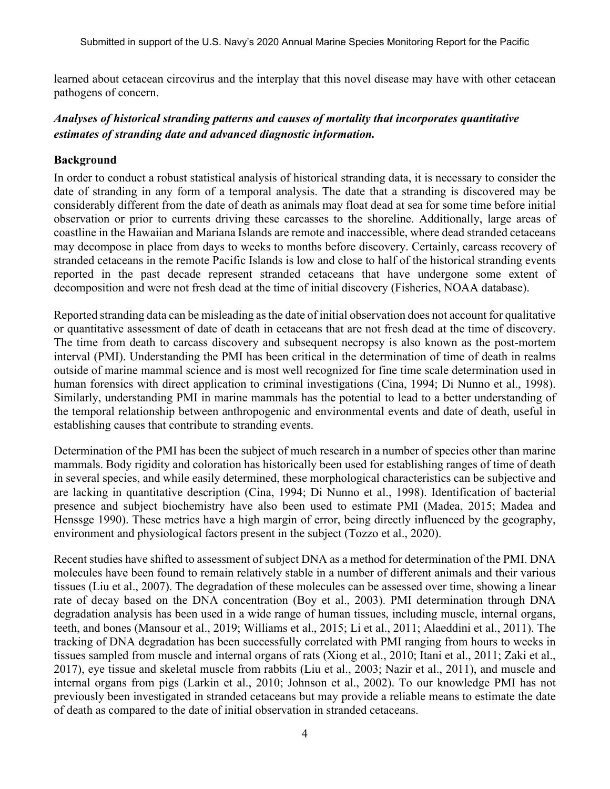learned about cetacean circovirus and the interplay that this novel disease may have with other cetacean pathogens of concern.

# *Analyses of historical stranding patterns and causes of mortality that incorporates quantitative estimates of stranding date and advanced diagnostic information.*

## **Background**

In order to conduct a robust statistical analysis of historical stranding data, it is necessary to consider the date of stranding in any form of a temporal analysis. The date that a stranding is discovered may be considerably different from the date of death as animals may float dead at sea for some time before initial observation or prior to currents driving these carcasses to the shoreline. Additionally, large areas of coastline in the Hawaiian and Mariana Islands are remote and inaccessible, where dead stranded cetaceans may decompose in place from days to weeks to months before discovery. Certainly, carcass recovery of stranded cetaceans in the remote Pacific Islands is low and close to half of the historical stranding events reported in the past decade represent stranded cetaceans that have undergone some extent of decomposition and were not fresh dead at the time of initial discovery (Fisheries, NOAA database).

Reported stranding data can be misleading as the date of initial observation does not account for qualitative or quantitative assessment of date of death in cetaceans that are not fresh dead at the time of discovery. The time from death to carcass discovery and subsequent necropsy is also known as the post-mortem interval (PMI). Understanding the PMI has been critical in the determination of time of death in realms outside of marine mammal science and is most well recognized for fine time scale determination used in human forensics with direct application to criminal investigations (Cina, 1994; Di Nunno et al., 1998). Similarly, understanding PMI in marine mammals has the potential to lead to a better understanding of the temporal relationship between anthropogenic and environmental events and date of death, useful in establishing causes that contribute to stranding events.

Determination of the PMI has been the subject of much research in a number of species other than marine mammals. Body rigidity and coloration has historically been used for establishing ranges of time of death in several species, and while easily determined, these morphological characteristics can be subjective and are lacking in quantitative description (Cina, 1994; Di Nunno et al., 1998). Identification of bacterial presence and subject biochemistry have also been used to estimate PMI (Madea, 2015; Madea and Henssge 1990). These metrics have a high margin of error, being directly influenced by the geography, environment and physiological factors present in the subject (Tozzo et al., 2020).

Recent studies have shifted to assessment of subject DNA as a method for determination of the PMI. DNA molecules have been found to remain relatively stable in a number of different animals and their various tissues (Liu et al., 2007). The degradation of these molecules can be assessed over time, showing a linear rate of decay based on the DNA concentration (Boy et al., 2003). PMI determination through DNA degradation analysis has been used in a wide range of human tissues, including muscle, internal organs, teeth, and bones (Mansour et al., 2019; Williams et al., 2015; Li et al., 2011; Alaeddini et al., 2011). The tracking of DNA degradation has been successfully correlated with PMI ranging from hours to weeks in tissues sampled from muscle and internal organs of rats (Xiong et al., 2010; Itani et al., 2011; Zaki et al., 2017), eye tissue and skeletal muscle from rabbits (Liu et al., 2003; Nazir et al., 2011), and muscle and internal organs from pigs (Larkin et al., 2010; Johnson et al., 2002). To our knowledge PMI has not previously been investigated in stranded cetaceans but may provide a reliable means to estimate the date of death as compared to the date of initial observation in stranded cetaceans.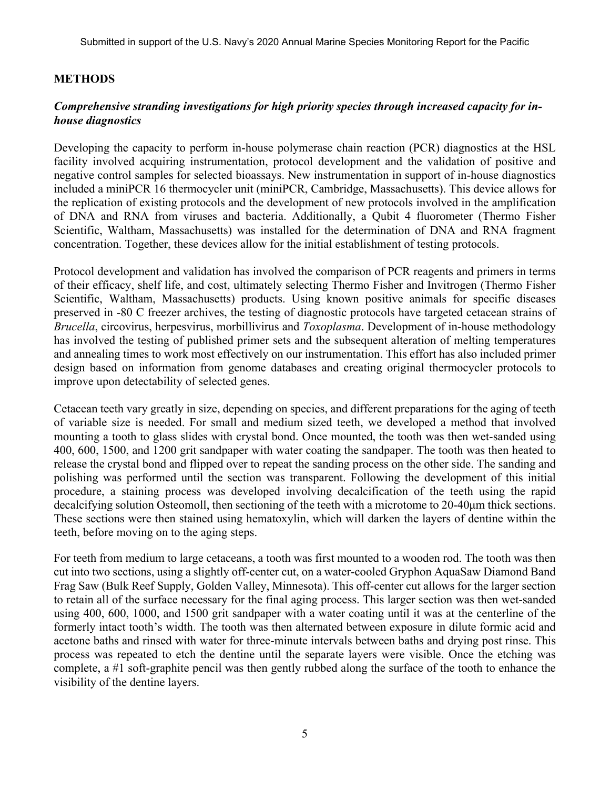## **METHODS**

## *Comprehensive stranding investigations for high priority species through increased capacity for inhouse diagnostics*

Developing the capacity to perform in-house polymerase chain reaction (PCR) diagnostics at the HSL facility involved acquiring instrumentation, protocol development and the validation of positive and negative control samples for selected bioassays. New instrumentation in support of in-house diagnostics included a miniPCR 16 thermocycler unit (miniPCR, Cambridge, Massachusetts). This device allows for the replication of existing protocols and the development of new protocols involved in the amplification of DNA and RNA from viruses and bacteria. Additionally, a Qubit 4 fluorometer (Thermo Fisher Scientific, Waltham, Massachusetts) was installed for the determination of DNA and RNA fragment concentration. Together, these devices allow for the initial establishment of testing protocols.

Protocol development and validation has involved the comparison of PCR reagents and primers in terms of their efficacy, shelf life, and cost, ultimately selecting Thermo Fisher and Invitrogen (Thermo Fisher Scientific, Waltham, Massachusetts) products. Using known positive animals for specific diseases preserved in -80 C freezer archives, the testing of diagnostic protocols have targeted cetacean strains of *Brucella*, circovirus, herpesvirus, morbillivirus and *Toxoplasma*. Development of in-house methodology has involved the testing of published primer sets and the subsequent alteration of melting temperatures and annealing times to work most effectively on our instrumentation. This effort has also included primer design based on information from genome databases and creating original thermocycler protocols to improve upon detectability of selected genes.

Cetacean teeth vary greatly in size, depending on species, and different preparations for the aging of teeth of variable size is needed. For small and medium sized teeth, we developed a method that involved mounting a tooth to glass slides with crystal bond. Once mounted, the tooth was then wet-sanded using 400, 600, 1500, and 1200 grit sandpaper with water coating the sandpaper. The tooth was then heated to release the crystal bond and flipped over to repeat the sanding process on the other side. The sanding and polishing was performed until the section was transparent. Following the development of this initial procedure, a staining process was developed involving decalcification of the teeth using the rapid decalcifying solution Osteomoll, then sectioning of the teeth with a microtome to 20-40μm thick sections. These sections were then stained using hematoxylin, which will darken the layers of dentine within the teeth, before moving on to the aging steps.

For teeth from medium to large cetaceans, a tooth was first mounted to a wooden rod. The tooth was then cut into two sections, using a slightly off-center cut, on a water-cooled Gryphon AquaSaw Diamond Band Frag Saw (Bulk Reef Supply, Golden Valley, Minnesota). This off-center cut allows for the larger section to retain all of the surface necessary for the final aging process. This larger section was then wet-sanded using 400, 600, 1000, and 1500 grit sandpaper with a water coating until it was at the centerline of the formerly intact tooth's width. The tooth was then alternated between exposure in dilute formic acid and acetone baths and rinsed with water for three-minute intervals between baths and drying post rinse. This process was repeated to etch the dentine until the separate layers were visible. Once the etching was complete, a #1 soft-graphite pencil was then gently rubbed along the surface of the tooth to enhance the visibility of the dentine layers.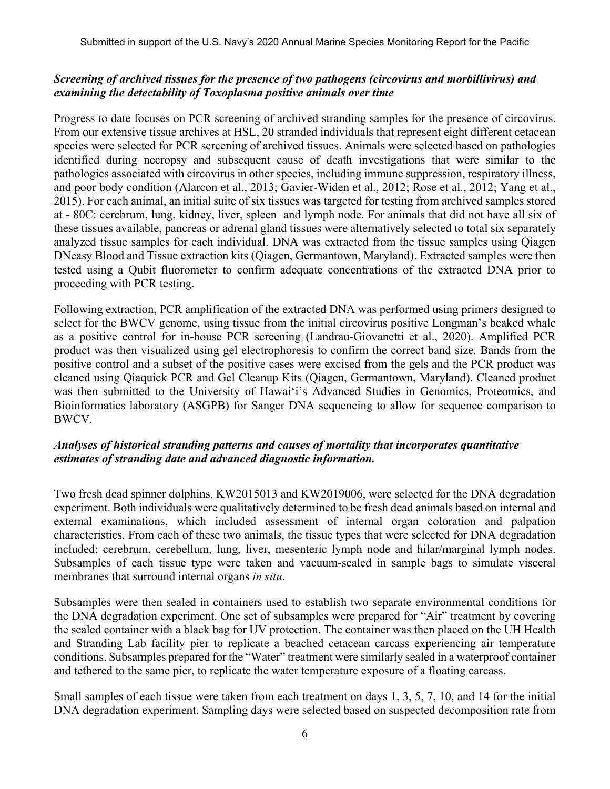## *Screening of archived tissues for the presence of two pathogens (circovirus and morbillivirus) and examining the detectability of Toxoplasma positive animals over time*

Progress to date focuses on PCR screening of archived stranding samples for the presence of circovirus. From our extensive tissue archives at HSL, 20 stranded individuals that represent eight different cetacean species were selected for PCR screening of archived tissues. Animals were selected based on pathologies identified during necropsy and subsequent cause of death investigations that were similar to the pathologies associated with circovirus in other species, including immune suppression, respiratory illness, and poor body condition (Alarcon et al., 2013; Gavier-Widen et al., 2012; Rose et al., 2012; Yang et al., 2015). For each animal, an initial suite of six tissues was targeted for testing from archived samples stored at - 80C: cerebrum, lung, kidney, liver, spleen and lymph node. For animals that did not have all six of these tissues available, pancreas or adrenal gland tissues were alternatively selected to total six separately analyzed tissue samples for each individual. DNA was extracted from the tissue samples using Qiagen DNeasy Blood and Tissue extraction kits (Qiagen, Germantown, Maryland). Extracted samples were then tested using a Qubit fluorometer to confirm adequate concentrations of the extracted DNA prior to proceeding with PCR testing.

Following extraction, PCR amplification of the extracted DNA was performed using primers designed to select for the BWCV genome, using tissue from the initial circovirus positive Longman's beaked whale as a positive control for in-house PCR screening (Landrau-Giovanetti et al., 2020). Amplified PCR product was then visualized using gel electrophoresis to confirm the correct band size. Bands from the positive control and a subset of the positive cases were excised from the gels and the PCR product was cleaned using Qiaquick PCR and Gel Cleanup Kits (Qiagen, Germantown, Maryland). Cleaned product was then submitted to the University of Hawai'i's Advanced Studies in Genomics, Proteomics, and Bioinformatics laboratory (ASGPB) for Sanger DNA sequencing to allow for sequence comparison to BWCV.

#### *Analyses of historical stranding patterns and causes of mortality that incorporates quantitative estimates of stranding date and advanced diagnostic information.*

Two fresh dead spinner dolphins, KW2015013 and KW2019006, were selected for the DNA degradation experiment. Both individuals were qualitatively determined to be fresh dead animals based on internal and external examinations, which included assessment of internal organ coloration and palpation characteristics. From each of these two animals, the tissue types that were selected for DNA degradation included: cerebrum, cerebellum, lung, liver, mesenteric lymph node and hilar/marginal lymph nodes. Subsamples of each tissue type were taken and vacuum-sealed in sample bags to simulate visceral membranes that surround internal organs *in situ*.

Subsamples were then sealed in containers used to establish two separate environmental conditions for the DNA degradation experiment. One set of subsamples were prepared for "Air" treatment by covering the sealed container with a black bag for UV protection. The container was then placed on the UH Health and Stranding Lab facility pier to replicate a beached cetacean carcass experiencing air temperature conditions. Subsamples prepared for the "Water" treatment were similarly sealed in a waterproof container and tethered to the same pier, to replicate the water temperature exposure of a floating carcass.

Small samples of each tissue were taken from each treatment on days 1, 3, 5, 7, 10, and 14 for the initial DNA degradation experiment. Sampling days were selected based on suspected decomposition rate from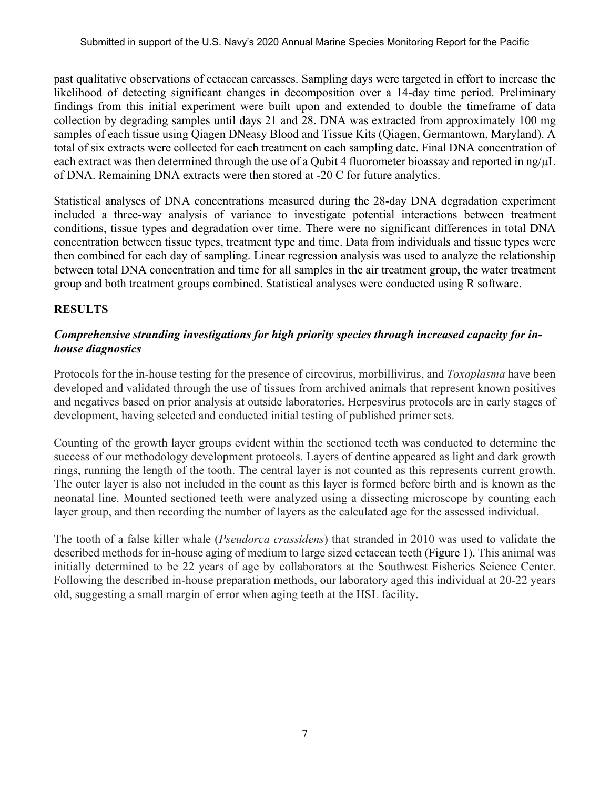past qualitative observations of cetacean carcasses. Sampling days were targeted in effort to increase the likelihood of detecting significant changes in decomposition over a 14-day time period. Preliminary findings from this initial experiment were built upon and extended to double the timeframe of data collection by degrading samples until days 21 and 28. DNA was extracted from approximately 100 mg samples of each tissue using Qiagen DNeasy Blood and Tissue Kits (Qiagen, Germantown, Maryland). A total of six extracts were collected for each treatment on each sampling date. Final DNA concentration of each extract was then determined through the use of a Qubit 4 fluorometer bioassay and reported in ng/ $\mu$ L of DNA. Remaining DNA extracts were then stored at -20 C for future analytics.

Statistical analyses of DNA concentrations measured during the 28-day DNA degradation experiment included a three-way analysis of variance to investigate potential interactions between treatment conditions, tissue types and degradation over time. There were no significant differences in total DNA concentration between tissue types, treatment type and time. Data from individuals and tissue types were then combined for each day of sampling. Linear regression analysis was used to analyze the relationship between total DNA concentration and time for all samples in the air treatment group, the water treatment group and both treatment groups combined. Statistical analyses were conducted using R software.

# **RESULTS**

# *Comprehensive stranding investigations for high priority species through increased capacity for inhouse diagnostics*

Protocols for the in-house testing for the presence of circovirus, morbillivirus, and *Toxoplasma* have been developed and validated through the use of tissues from archived animals that represent known positives and negatives based on prior analysis at outside laboratories. Herpesvirus protocols are in early stages of development, having selected and conducted initial testing of published primer sets.

Counting of the growth layer groups evident within the sectioned teeth was conducted to determine the success of our methodology development protocols. Layers of dentine appeared as light and dark growth rings, running the length of the tooth. The central layer is not counted as this represents current growth. The outer layer is also not included in the count as this layer is formed before birth and is known as the neonatal line. Mounted sectioned teeth were analyzed using a dissecting microscope by counting each layer group, and then recording the number of layers as the calculated age for the assessed individual.

The tooth of a false killer whale (*Pseudorca crassidens*) that stranded in 2010 was used to validate the described methods for in-house aging of medium to large sized cetacean teeth (Figure 1). This animal was initially determined to be 22 years of age by collaborators at the Southwest Fisheries Science Center. Following the described in-house preparation methods, our laboratory aged this individual at 20-22 years old, suggesting a small margin of error when aging teeth at the HSL facility.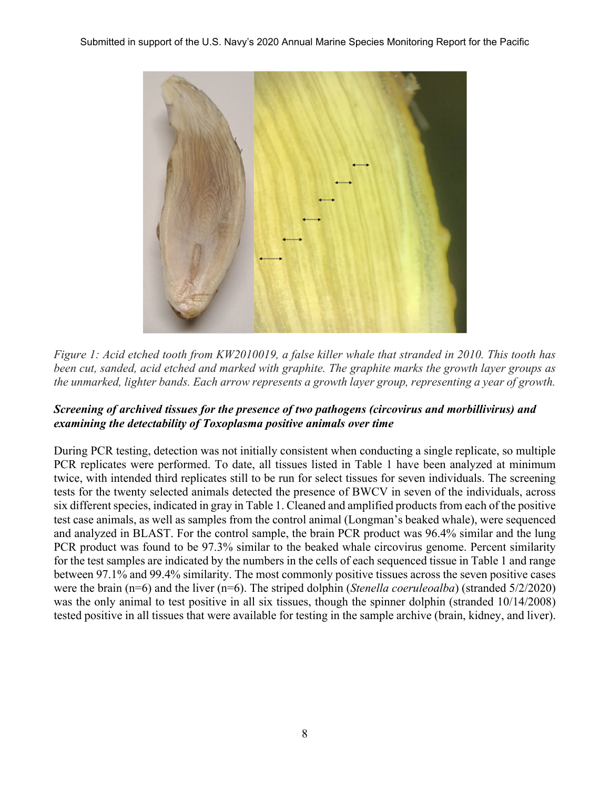

*Figure 1: Acid etched tooth from KW2010019, a false killer whale that stranded in 2010. This tooth has been cut, sanded, acid etched and marked with graphite. The graphite marks the growth layer groups as the unmarked, lighter bands. Each arrow represents a growth layer group, representing a year of growth.* 

# *Screening of archived tissues for the presence of two pathogens (circovirus and morbillivirus) and examining the detectability of Toxoplasma positive animals over time*

During PCR testing, detection was not initially consistent when conducting a single replicate, so multiple PCR replicates were performed. To date, all tissues listed in Table 1 have been analyzed at minimum twice, with intended third replicates still to be run for select tissues for seven individuals. The screening tests for the twenty selected animals detected the presence of BWCV in seven of the individuals, across six different species, indicated in gray in Table 1. Cleaned and amplified products from each of the positive test case animals, as well as samples from the control animal (Longman's beaked whale), were sequenced and analyzed in BLAST. For the control sample, the brain PCR product was 96.4% similar and the lung PCR product was found to be 97.3% similar to the beaked whale circovirus genome. Percent similarity for the test samples are indicated by the numbers in the cells of each sequenced tissue in Table 1 and range between 97.1% and 99.4% similarity. The most commonly positive tissues across the seven positive cases were the brain (n=6) and the liver (n=6). The striped dolphin (*Stenella coeruleoalba*) (stranded 5/2/2020) was the only animal to test positive in all six tissues, though the spinner dolphin (stranded 10/14/2008) tested positive in all tissues that were available for testing in the sample archive (brain, kidney, and liver).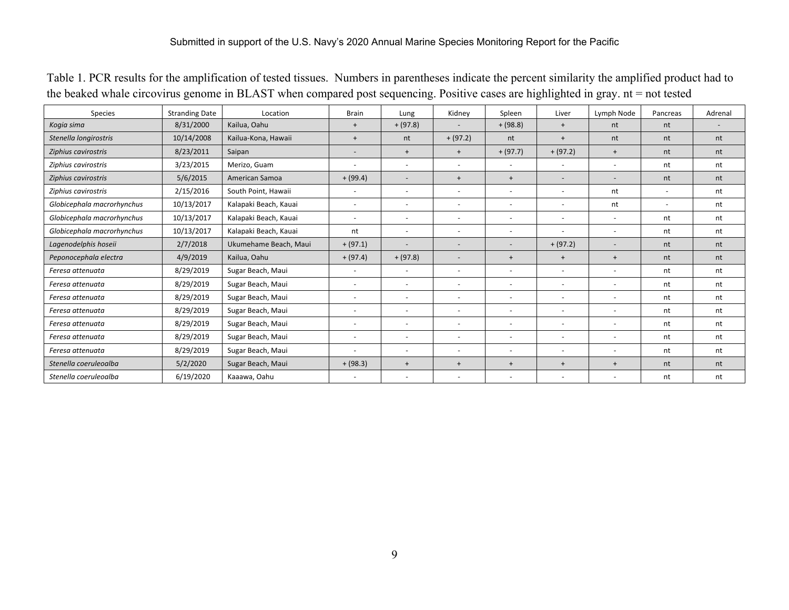| Species                    | <b>Stranding Date</b> | Location              | <b>Brain</b>             | Lung                     | Kidney                   | Spleen                   | Liver                        | Lymph Node               | Pancreas                 | Adrenal |
|----------------------------|-----------------------|-----------------------|--------------------------|--------------------------|--------------------------|--------------------------|------------------------------|--------------------------|--------------------------|---------|
| Kogia sima                 | 8/31/2000             | Kailua, Oahu          | $\ddot{}$                | $+ (97.8)$               |                          | $+ (98.8)$               | $+$                          | nt                       | nt                       |         |
| Stenella longirostris      | 10/14/2008            | Kailua-Kona, Hawaii   | $\ddot{}$                | nt                       | $+(97.2)$                | nt                       | $\overline{+}$               | nt                       | nt                       | nt      |
| Ziphius cavirostris        | 8/23/2011             | Saipan                |                          | $\ddot{}$                | $\ddot{}$                | $+ (97.7)$               | $+(97.2)$                    | $\ddot{}$                | nt                       | nt      |
| Ziphius cavirostris        | 3/23/2015             | Merizo, Guam          | $\overline{\phantom{a}}$ | $\overline{\phantom{0}}$ |                          | $\overline{\phantom{a}}$ | $\overline{\phantom{a}}$     |                          | nt                       | nt      |
| Ziphius cavirostris        | 5/6/2015              | American Samoa        | $+ (99.4)$               | $\overline{\phantom{a}}$ | $\ddot{}$                | $\ddot{}$                | $\qquad \qquad \blacksquare$ |                          | nt                       | nt      |
| Ziphius cavirostris        | 2/15/2016             | South Point, Hawaii   | $\overline{\phantom{a}}$ |                          |                          | $\overline{\phantom{a}}$ | ٠                            | nt                       |                          | nt      |
| Globicephala macrorhynchus | 10/13/2017            | Kalapaki Beach, Kauai | $\overline{\phantom{a}}$ | $\overline{\phantom{a}}$ |                          | $\overline{\phantom{a}}$ | -                            | nt                       | $\overline{\phantom{a}}$ | nt      |
| Globicephala macrorhynchus | 10/13/2017            | Kalapaki Beach, Kauai | $\overline{\phantom{a}}$ | $\overline{\phantom{0}}$ |                          | $\overline{\phantom{a}}$ | $\overline{\phantom{a}}$     | $\overline{\phantom{0}}$ | nt                       | nt      |
| Globicephala macrorhynchus | 10/13/2017            | Kalapaki Beach, Kauai | nt                       | $\overline{\phantom{a}}$ |                          | $\blacksquare$           | ٠                            | $\overline{\phantom{a}}$ | nt                       | nt      |
| Lagenodelphis hoseii       | 2/7/2018              | Ukumehame Beach, Maui | $+ (97.1)$               |                          |                          | $\overline{\phantom{a}}$ | $+(97.2)$                    |                          | nt                       | nt      |
| Peponocephala electra      | 4/9/2019              | Kailua, Oahu          | $+ (97.4)$               | $+ (97.8)$               |                          | $\ddot{}$                | $+$                          | $+$                      | nt                       | nt      |
| Feresa attenuata           | 8/29/2019             | Sugar Beach, Maui     | $\overline{\phantom{a}}$ | $\overline{\phantom{a}}$ |                          | $\overline{\phantom{a}}$ | $\overline{\phantom{a}}$     | $\overline{\phantom{a}}$ | nt                       | nt      |
| Feresa attenuata           | 8/29/2019             | Sugar Beach, Maui     | $\overline{\phantom{a}}$ | $\overline{\phantom{a}}$ |                          | $\overline{\phantom{a}}$ | $\overline{\phantom{a}}$     | $\overline{\phantom{a}}$ | nt                       | nt      |
| Feresa attenuata           | 8/29/2019             | Sugar Beach, Maui     | $\overline{\phantom{a}}$ | $\overline{\phantom{a}}$ |                          | $\overline{\phantom{a}}$ | $\overline{\phantom{a}}$     |                          | nt                       | nt      |
| Feresa attenuata           | 8/29/2019             | Sugar Beach, Maui     | $\overline{\phantom{a}}$ | $\overline{\phantom{a}}$ | $\overline{a}$           | $\overline{\phantom{a}}$ | $\overline{\phantom{a}}$     | $\overline{\phantom{a}}$ | nt                       | nt      |
| Feresa attenuata           | 8/29/2019             | Sugar Beach, Maui     | $\overline{\phantom{a}}$ | $\overline{\phantom{a}}$ |                          | $\overline{\phantom{a}}$ | $\overline{\phantom{a}}$     | $\overline{\phantom{a}}$ | nt                       | nt      |
| Feresa attenuata           | 8/29/2019             | Sugar Beach, Maui     | $\overline{\phantom{a}}$ | $\overline{\phantom{a}}$ |                          | $\overline{\phantom{a}}$ | $\overline{\phantom{a}}$     | $\overline{\phantom{a}}$ | nt                       | nt      |
| Feresa attenuata           | 8/29/2019             | Sugar Beach, Maui     | $\overline{\phantom{a}}$ |                          |                          | $\overline{\phantom{a}}$ | $\overline{\phantom{a}}$     | $\overline{\phantom{a}}$ | nt                       | nt      |
| Stenella coeruleoalba      | 5/2/2020              | Sugar Beach, Maui     | $+ (98.3)$               | $\ddot{}$                | $+$                      | $+$                      | $+$                          | $+$                      | nt                       | nt      |
| Stenella coeruleoalba      | 6/19/2020             | Kaaawa, Oahu          | $\overline{\phantom{a}}$ |                          | $\overline{\phantom{a}}$ | $\overline{\phantom{a}}$ | $\overline{\phantom{a}}$     |                          | nt                       | nt      |

Table 1. PCR results for the amplification of tested tissues. Numbers in parentheses indicate the percent similarity the amplified product had to the beaked whale circovirus genome in BLAST when compared post sequencing. Positive cases are highlighted in gray. nt = not tested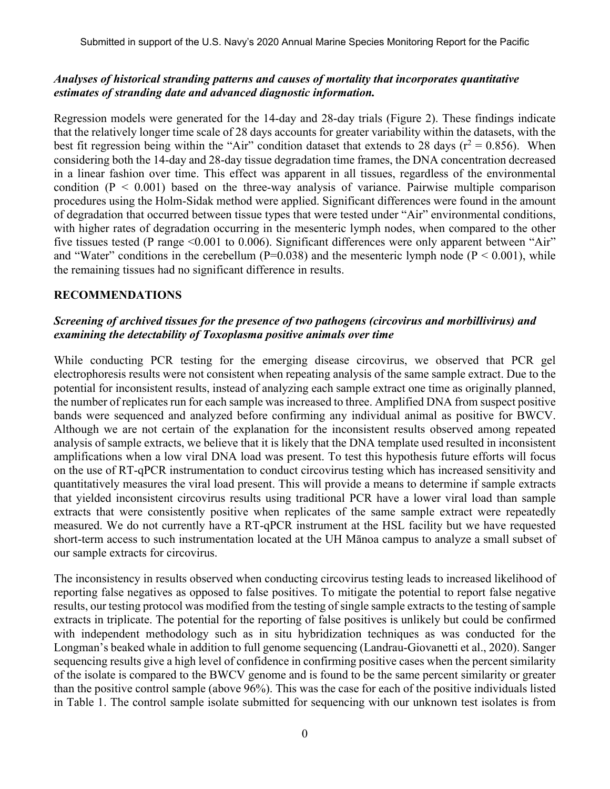### *Analyses of historical stranding patterns and causes of mortality that incorporates quantitative estimates of stranding date and advanced diagnostic information.*

Regression models were generated for the 14-day and 28-day trials (Figure 2). These findings indicate that the relatively longer time scale of 28 days accounts for greater variability within the datasets, with the best fit regression being within the "Air" condition dataset that extends to 28 days ( $r^2 = 0.856$ ). When considering both the 14-day and 28-day tissue degradation time frames, the DNA concentration decreased in a linear fashion over time. This effect was apparent in all tissues, regardless of the environmental condition  $(P < 0.001)$  based on the three-way analysis of variance. Pairwise multiple comparison procedures using the Holm-Sidak method were applied. Significant differences were found in the amount of degradation that occurred between tissue types that were tested under "Air" environmental conditions, with higher rates of degradation occurring in the mesenteric lymph nodes, when compared to the other five tissues tested (P range <0.001 to 0.006). Significant differences were only apparent between "Air" and "Water" conditions in the cerebellum ( $P=0.038$ ) and the mesenteric lymph node ( $P < 0.001$ ), while the remaining tissues had no significant difference in results.

## **RECOMMENDATIONS**

### *Screening of archived tissues for the presence of two pathogens (circovirus and morbillivirus) and examining the detectability of Toxoplasma positive animals over time*

While conducting PCR testing for the emerging disease circovirus, we observed that PCR gel electrophoresis results were not consistent when repeating analysis of the same sample extract. Due to the potential for inconsistent results, instead of analyzing each sample extract one time as originally planned, the number of replicates run for each sample was increased to three. Amplified DNA from suspect positive bands were sequenced and analyzed before confirming any individual animal as positive for BWCV. Although we are not certain of the explanation for the inconsistent results observed among repeated analysis of sample extracts, we believe that it is likely that the DNA template used resulted in inconsistent amplifications when a low viral DNA load was present. To test this hypothesis future efforts will focus on the use of RT-qPCR instrumentation to conduct circovirus testing which has increased sensitivity and quantitatively measures the viral load present. This will provide a means to determine if sample extracts that yielded inconsistent circovirus results using traditional PCR have a lower viral load than sample extracts that were consistently positive when replicates of the same sample extract were repeatedly measured. We do not currently have a RT-qPCR instrument at the HSL facility but we have requested short-term access to such instrumentation located at the UH Mānoa campus to analyze a small subset of our sample extracts for circovirus.

The inconsistency in results observed when conducting circovirus testing leads to increased likelihood of reporting false negatives as opposed to false positives. To mitigate the potential to report false negative results, our testing protocol was modified from the testing of single sample extracts to the testing of sample extracts in triplicate. The potential for the reporting of false positives is unlikely but could be confirmed with independent methodology such as in situ hybridization techniques as was conducted for the Longman's beaked whale in addition to full genome sequencing (Landrau-Giovanetti et al., 2020). Sanger sequencing results give a high level of confidence in confirming positive cases when the percent similarity of the isolate is compared to the BWCV genome and is found to be the same percent similarity or greater than the positive control sample (above 96%). This was the case for each of the positive individuals listed in Table 1. The control sample isolate submitted for sequencing with our unknown test isolates is from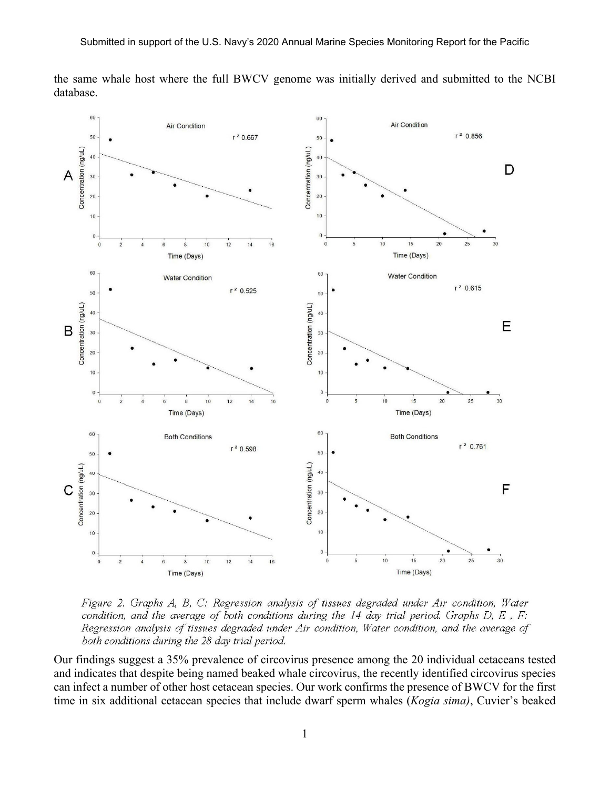the same whale host where the full BWCV genome was initially derived and submitted to the NCBI database.



Figure 2. Graphs A, B, C: Regression analysis of tissues degraded under Air condition, Water condition, and the average of both conditions during the 14 day trial period. Graphs  $D, E, F$ : Regression analysis of tissues degraded under Air condition, Water condition, and the average of both conditions during the 28 day trial period.

Our findings suggest a 35% prevalence of circovirus presence among the 20 individual cetaceans tested and indicates that despite being named beaked whale circovirus, the recently identified circovirus species can infect a number of other host cetacean species. Our work confirms the presence of BWCV for the first time in six additional cetacean species that include dwarf sperm whales (*Kogia sima)*, Cuvier's beaked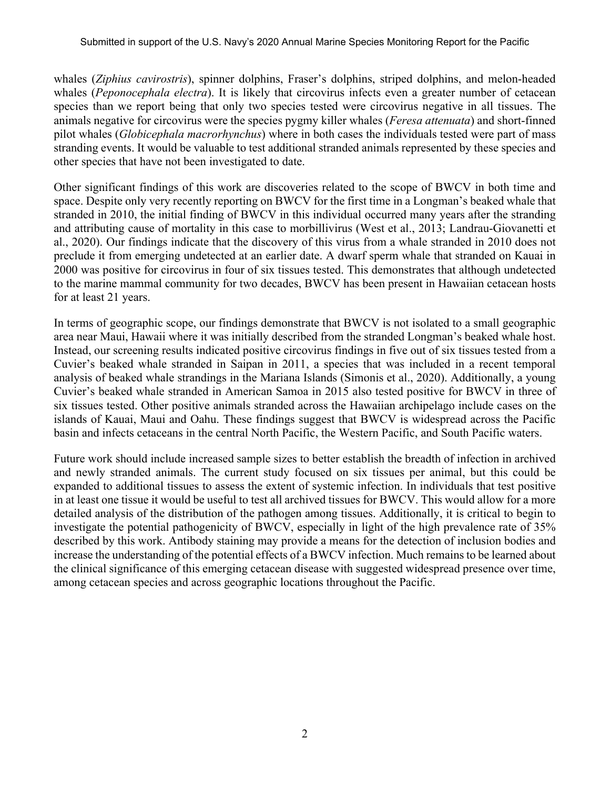whales (*Ziphius cavirostris*), spinner dolphins, Fraser's dolphins, striped dolphins, and melon-headed whales (*Peponocephala electra*). It is likely that circovirus infects even a greater number of cetacean species than we report being that only two species tested were circovirus negative in all tissues. The animals negative for circovirus were the species pygmy killer whales (*Feresa attenuata*) and short-finned pilot whales (*Globicephala macrorhynchus*) where in both cases the individuals tested were part of mass stranding events. It would be valuable to test additional stranded animals represented by these species and other species that have not been investigated to date.

Other significant findings of this work are discoveries related to the scope of BWCV in both time and space. Despite only very recently reporting on BWCV for the first time in a Longman's beaked whale that stranded in 2010, the initial finding of BWCV in this individual occurred many years after the stranding and attributing cause of mortality in this case to morbillivirus (West et al., 2013; Landrau-Giovanetti et al., 2020). Our findings indicate that the discovery of this virus from a whale stranded in 2010 does not preclude it from emerging undetected at an earlier date. A dwarf sperm whale that stranded on Kauai in 2000 was positive for circovirus in four of six tissues tested. This demonstrates that although undetected to the marine mammal community for two decades, BWCV has been present in Hawaiian cetacean hosts for at least 21 years.

In terms of geographic scope, our findings demonstrate that BWCV is not isolated to a small geographic area near Maui, Hawaii where it was initially described from the stranded Longman's beaked whale host. Instead, our screening results indicated positive circovirus findings in five out of six tissues tested from a Cuvier's beaked whale stranded in Saipan in 2011, a species that was included in a recent temporal analysis of beaked whale strandings in the Mariana Islands (Simonis et al., 2020). Additionally, a young Cuvier's beaked whale stranded in American Samoa in 2015 also tested positive for BWCV in three of six tissues tested. Other positive animals stranded across the Hawaiian archipelago include cases on the islands of Kauai, Maui and Oahu. These findings suggest that BWCV is widespread across the Pacific basin and infects cetaceans in the central North Pacific, the Western Pacific, and South Pacific waters.

Future work should include increased sample sizes to better establish the breadth of infection in archived and newly stranded animals. The current study focused on six tissues per animal, but this could be expanded to additional tissues to assess the extent of systemic infection. In individuals that test positive in at least one tissue it would be useful to test all archived tissues for BWCV. This would allow for a more detailed analysis of the distribution of the pathogen among tissues. Additionally, it is critical to begin to investigate the potential pathogenicity of BWCV, especially in light of the high prevalence rate of 35% described by this work. Antibody staining may provide a means for the detection of inclusion bodies and increase the understanding of the potential effects of a BWCV infection. Much remains to be learned about the clinical significance of this emerging cetacean disease with suggested widespread presence over time, among cetacean species and across geographic locations throughout the Pacific.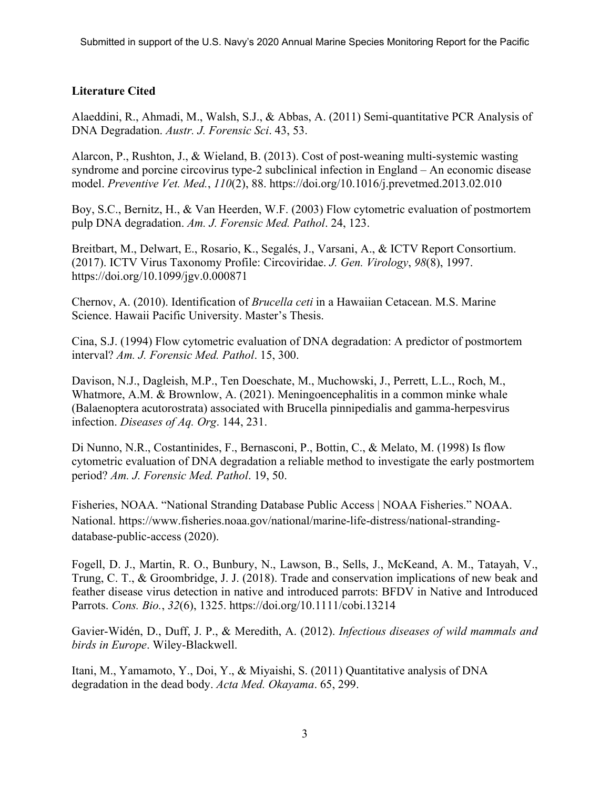# **Literature Cited**

Alaeddini, R., Ahmadi, M., Walsh, S.J., & Abbas, A. (2011) Semi-quantitative PCR Analysis of DNA Degradation. *Austr. J. Forensic Sci*. 43, 53.

Alarcon, P., Rushton, J., & Wieland, B. (2013). Cost of post-weaning multi-systemic wasting syndrome and porcine circovirus type-2 subclinical infection in England – An economic disease model. *Preventive Vet. Med.*, *110*(2), 88. https://doi.org/10.1016/j.prevetmed.2013.02.010

Boy, S.C., Bernitz, H., & Van Heerden, W.F. (2003) Flow cytometric evaluation of postmortem pulp DNA degradation. *Am. J. Forensic Med. Pathol*. 24, 123.

Breitbart, M., Delwart, E., Rosario, K., Segalés, J., Varsani, A., & ICTV Report Consortium. (2017). ICTV Virus Taxonomy Profile: Circoviridae. *J. Gen. Virology*, *98*(8), 1997. https://doi.org/10.1099/jgv.0.000871

Chernov, A. (2010). Identification of *Brucella ceti* in a Hawaiian Cetacean. M.S. Marine Science. Hawaii Pacific University. Master's Thesis.

Cina, S.J. (1994) Flow cytometric evaluation of DNA degradation: A predictor of postmortem interval? *Am. J. Forensic Med. Pathol*. 15, 300.

Davison, N.J., Dagleish, M.P., Ten Doeschate, M., Muchowski, J., Perrett, L.L., Roch, M., Whatmore, A.M. & Brownlow, A. (2021). Meningoencephalitis in a common minke whale (Balaenoptera acutorostrata) associated with Brucella pinnipedialis and gamma-herpesvirus infection. *Diseases of Aq. Org*. 144, 231.

Di Nunno, N.R., Costantinides, F., Bernasconi, P., Bottin, C., & Melato, M. (1998) Is flow cytometric evaluation of DNA degradation a reliable method to investigate the early postmortem period? *Am. J. Forensic Med. Pathol*. 19, 50.

Fisheries, NOAA. "National Stranding Database Public Access | NOAA Fisheries." NOAA. National. https://www.fisheries.noaa.gov/national/marine-life-distress/national-strandingdatabase-public-access (2020).

Fogell, D. J., Martin, R. O., Bunbury, N., Lawson, B., Sells, J., McKeand, A. M., Tatayah, V., Trung, C. T., & Groombridge, J. J. (2018). Trade and conservation implications of new beak and feather disease virus detection in native and introduced parrots: BFDV in Native and Introduced Parrots. *Cons. Bio.*, *32*(6), 1325. https://doi.org/10.1111/cobi.13214

Gavier-Widén, D., Duff, J. P., & Meredith, A. (2012). *Infectious diseases of wild mammals and birds in Europe*. Wiley-Blackwell.

Itani, M., Yamamoto, Y., Doi, Y., & Miyaishi, S. (2011) Quantitative analysis of DNA degradation in the dead body. *Acta Med. Okayama*. 65, 299.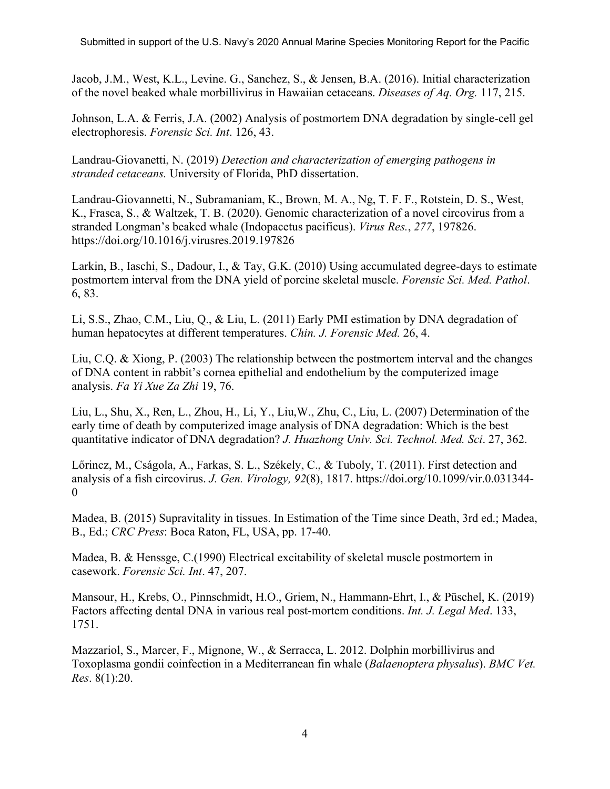Jacob, J.M., West, K.L., Levine. G., Sanchez, S., & Jensen, B.A. (2016). Initial characterization of the novel beaked whale morbillivirus in Hawaiian cetaceans. *Diseases of Aq. Org.* 117, 215.

Johnson, L.A. & Ferris, J.A. (2002) Analysis of postmortem DNA degradation by single-cell gel electrophoresis. *Forensic Sci. Int*. 126, 43.

Landrau-Giovanetti, N. (2019) *Detection and characterization of emerging pathogens in stranded cetaceans.* University of Florida, PhD dissertation.

Landrau-Giovannetti, N., Subramaniam, K., Brown, M. A., Ng, T. F. F., Rotstein, D. S., West, K., Frasca, S., & Waltzek, T. B. (2020). Genomic characterization of a novel circovirus from a stranded Longman's beaked whale (Indopacetus pacificus). *Virus Res.*, *277*, 197826. https://doi.org/10.1016/j.virusres.2019.197826

Larkin, B., Iaschi, S., Dadour, I., & Tay, G.K. (2010) Using accumulated degree-days to estimate postmortem interval from the DNA yield of porcine skeletal muscle. *Forensic Sci. Med. Pathol*. 6, 83.

Li, S.S., Zhao, C.M., Liu, Q., & Liu, L. (2011) Early PMI estimation by DNA degradation of human hepatocytes at different temperatures. *Chin. J. Forensic Med.* 26, 4.

Liu, C.Q. & Xiong, P. (2003) The relationship between the postmortem interval and the changes of DNA content in rabbit's cornea epithelial and endothelium by the computerized image analysis. *Fa Yi Xue Za Zhi* 19, 76.

Liu, L., Shu, X., Ren, L., Zhou, H., Li, Y., Liu,W., Zhu, C., Liu, L. (2007) Determination of the early time of death by computerized image analysis of DNA degradation: Which is the best quantitative indicator of DNA degradation? *J. Huazhong Univ. Sci. Technol. Med. Sci*. 27, 362.

Lőrincz, M., Cságola, A., Farkas, S. L., Székely, C., & Tuboly, T. (2011). First detection and analysis of a fish circovirus. *J. Gen. Virology, 92*(8), 1817. https://doi.org/10.1099/vir.0.031344- 0

Madea, B. (2015) Supravitality in tissues. In Estimation of the Time since Death, 3rd ed.; Madea, B., Ed.; *CRC Press*: Boca Raton, FL, USA, pp. 17-40.

Madea, B. & Henssge, C.(1990) Electrical excitability of skeletal muscle postmortem in casework. *Forensic Sci. Int*. 47, 207.

Mansour, H., Krebs, O., Pinnschmidt, H.O., Griem, N., Hammann-Ehrt, I., & Püschel, K. (2019) Factors affecting dental DNA in various real post-mortem conditions. *Int. J. Legal Med*. 133, 1751.

Mazzariol, S., Marcer, F., Mignone, W., & Serracca, L. 2012. Dolphin morbillivirus and Toxoplasma gondii coinfection in a Mediterranean fin whale (*Balaenoptera physalus*). *BMC Vet. Res*. 8(1):20.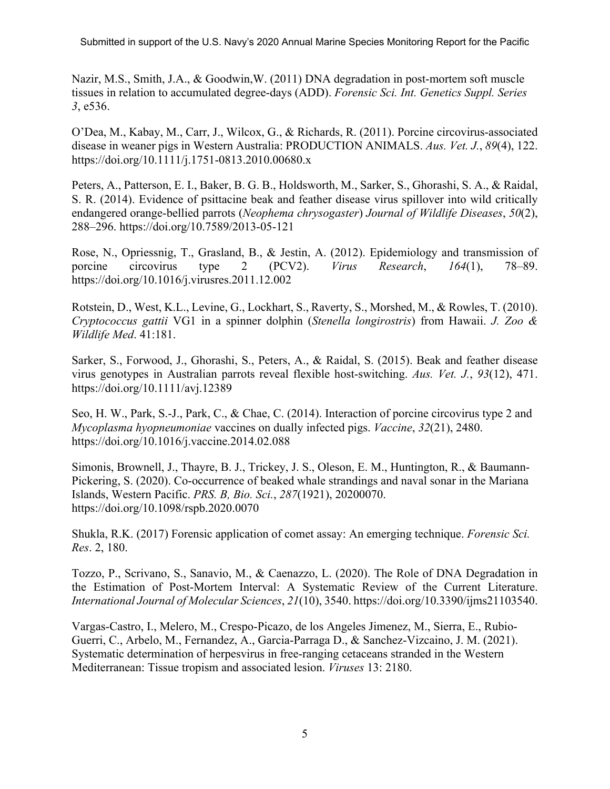Nazir, M.S., Smith, J.A., & Goodwin,W. (2011) DNA degradation in post-mortem soft muscle tissues in relation to accumulated degree-days (ADD). *Forensic Sci. Int. Genetics Suppl. Series 3*, e536.

O'Dea, M., Kabay, M., Carr, J., Wilcox, G., & Richards, R. (2011). Porcine circovirus-associated disease in weaner pigs in Western Australia: PRODUCTION ANIMALS. *Aus. Vet. J.*, *89*(4), 122. https://doi.org/10.1111/j.1751-0813.2010.00680.x

Peters, A., Patterson, E. I., Baker, B. G. B., Holdsworth, M., Sarker, S., Ghorashi, S. A., & Raidal, S. R. (2014). Evidence of psittacine beak and feather disease virus spillover into wild critically endangered orange-bellied parrots (*Neophema chrysogaster*) *Journal of Wildlife Diseases*, *50*(2), 288–296. https://doi.org/10.7589/2013-05-121

Rose, N., Opriessnig, T., Grasland, B., & Jestin, A. (2012). Epidemiology and transmission of porcine circovirus type 2 (PCV2). *Virus Research*, *164*(1), 78–89. https://doi.org/10.1016/j.virusres.2011.12.002

Rotstein, D., West, K.L., Levine, G., Lockhart, S., Raverty, S., Morshed, M., & Rowles, T. (2010). *Cryptococcus gattii* VG1 in a spinner dolphin (*Stenella longirostris*) from Hawaii. *J. Zoo & Wildlife Med*. 41:181.

Sarker, S., Forwood, J., Ghorashi, S., Peters, A., & Raidal, S. (2015). Beak and feather disease virus genotypes in Australian parrots reveal flexible host-switching. *Aus. Vet. J.*, *93*(12), 471. https://doi.org/10.1111/avj.12389

Seo, H. W., Park, S.-J., Park, C., & Chae, C. (2014). Interaction of porcine circovirus type 2 and *Mycoplasma hyopneumoniae* vaccines on dually infected pigs. *Vaccine*, *32*(21), 2480. https://doi.org/10.1016/j.vaccine.2014.02.088

Simonis, Brownell, J., Thayre, B. J., Trickey, J. S., Oleson, E. M., Huntington, R., & Baumann-Pickering, S. (2020). Co-occurrence of beaked whale strandings and naval sonar in the Mariana Islands, Western Pacific. *PRS. B, Bio. Sci.*, *287*(1921), 20200070. https://doi.org/10.1098/rspb.2020.0070

Shukla, R.K. (2017) Forensic application of comet assay: An emerging technique. *Forensic Sci. Res*. 2, 180.

Tozzo, P., Scrivano, S., Sanavio, M., & Caenazzo, L. (2020). The Role of DNA Degradation in the Estimation of Post-Mortem Interval: A Systematic Review of the Current Literature. *International Journal of Molecular Sciences*, *21*(10), 3540. https://doi.org/10.3390/ijms21103540.

Vargas-Castro, I., Melero, M., Crespo-Picazo, de los Angeles Jimenez, M., Sierra, E., Rubio-Guerri, C., Arbelo, M., Fernandez, A., Garcia-Parraga D., & Sanchez-Vizcaino, J. M. (2021). Systematic determination of herpesvirus in free-ranging cetaceans stranded in the Western Mediterranean: Tissue tropism and associated lesion. *Viruses* 13: 2180.